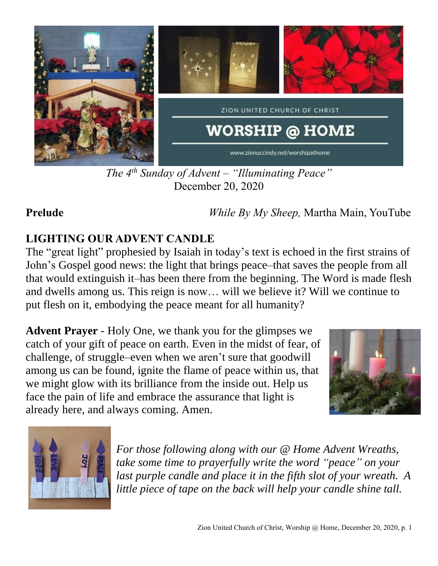

*The 4 th Sunday of Advent – "Illuminating Peace"* December 20, 2020

**Prelude** *While By My Sheep,* Martha Main, YouTube

# **LIGHTING OUR ADVENT CANDLE**

The "great light" prophesied by Isaiah in today's text is echoed in the first strains of John's Gospel good news: the light that brings peace–that saves the people from all that would extinguish it–has been there from the beginning. The Word is made flesh and dwells among us. This reign is now… will we believe it? Will we continue to put flesh on it, embodying the peace meant for all humanity?

**Advent Prayer** - Holy One, we thank you for the glimpses we catch of your gift of peace on earth. Even in the midst of fear, of challenge, of struggle–even when we aren't sure that goodwill among us can be found, ignite the flame of peace within us, that we might glow with its brilliance from the inside out. Help us face the pain of life and embrace the assurance that light is already here, and always coming. Amen.





*For those following along with our @ Home Advent Wreaths, take some time to prayerfully write the word "peace" on your last purple candle and place it in the fifth slot of your wreath. A little piece of tape on the back will help your candle shine tall.*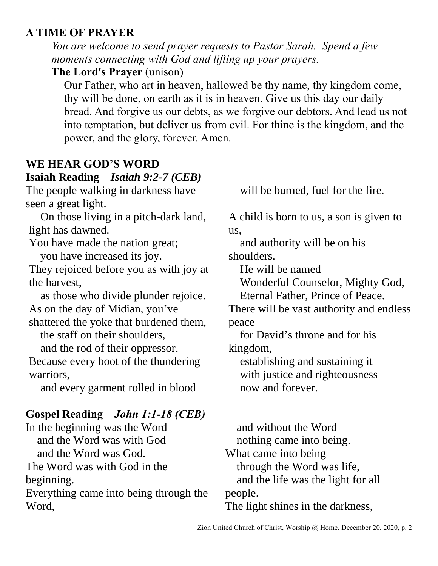### **A TIME OF PRAYER**

*You are welcome to send prayer requests to Pastor Sarah. Spend a few moments connecting with God and lifting up your prayers.*

### **The Lord's Prayer** (unison)

Our Father, who art in heaven, hallowed be thy name, thy kingdom come, thy will be done, on earth as it is in heaven. Give us this day our daily bread. And forgive us our debts, as we forgive our debtors. And lead us not into temptation, but deliver us from evil. For thine is the kingdom, and the power, and the glory, forever. Amen.

### **WE HEAR GOD'S WORD**

### **Isaiah Reading—***Isaiah 9:2-7 (CEB)*

The people walking in darkness have seen a great light.

 On those living in a pitch-dark land, light has dawned.

You have made the nation great;

you have increased its joy.

They rejoiced before you as with joy at the harvest,

 as those who divide plunder rejoice. As on the day of Midian, you've shattered the yoke that burdened them,

the staff on their shoulders,

 and the rod of their oppressor. Because every boot of the thundering warriors,

and every garment rolled in blood

## **Gospel Reading—***John 1:1-18 (CEB)*

In the beginning was the Word and the Word was with God and the Word was God. The Word was with God in the beginning. Everything came into being through the Word,

will be burned, fuel for the fire.

A child is born to us, a son is given to us,

 and authority will be on his shoulders.

He will be named

Wonderful Counselor, Mighty God,

Eternal Father, Prince of Peace.

There will be vast authority and endless peace

 for David's throne and for his kingdom,

 establishing and sustaining it with justice and righteousness now and forever.

 and without the Word nothing came into being. What came into being through the Word was life, and the life was the light for all people. The light shines in the darkness,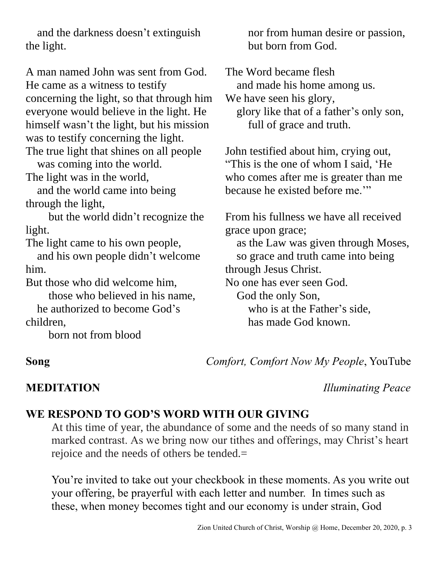and the darkness doesn't extinguish the light.

A man named John was sent from God. He came as a witness to testify concerning the light, so that through him everyone would believe in the light. He himself wasn't the light, but his mission was to testify concerning the light. The true light that shines on all people

was coming into the world.

The light was in the world,

 and the world came into being through the light,

 but the world didn't recognize the light.

The light came to his own people,

 and his own people didn't welcome him.

But those who did welcome him,

 those who believed in his name, he authorized to become God's children,

born not from blood

 nor from human desire or passion, but born from God.

The Word became flesh

and made his home among us.

We have seen his glory,

 glory like that of a father's only son, full of grace and truth.

John testified about him, crying out, "This is the one of whom I said, 'He who comes after me is greater than me because he existed before me.'"

From his fullness we have all received grace upon grace;

 as the Law was given through Moses, so grace and truth came into being through Jesus Christ. No one has ever seen God. God the only Son, who is at the Father's side, has made God known.

**Song** *Comfort, Comfort Now My People*, YouTube

**MEDITATION** *Illuminating Peace*

#### **WE RESPOND TO GOD'S WORD WITH OUR GIVING**

At this time of year, the abundance of some and the needs of so many stand in marked contrast. As we bring now our tithes and offerings, may Christ's heart rejoice and the needs of others be tended.=

You're invited to take out your checkbook in these moments. As you write out your offering, be prayerful with each letter and number. In times such as these, when money becomes tight and our economy is under strain, God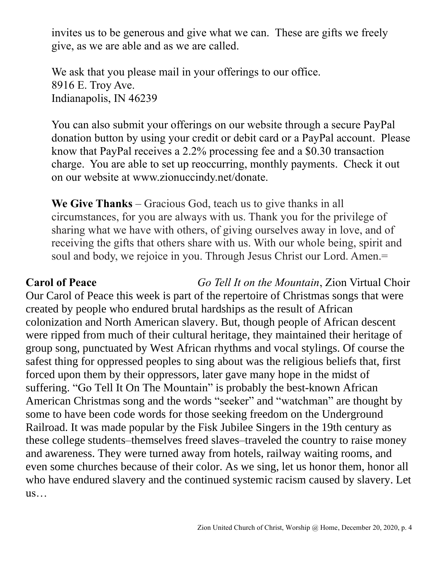invites us to be generous and give what we can. These are gifts we freely give, as we are able and as we are called.

We ask that you please mail in your offerings to our office. 8916 E. Troy Ave. Indianapolis, IN 46239

You can also submit your offerings on our website through a secure PayPal donation button by using your credit or debit card or a PayPal account. Please know that PayPal receives a 2.2% processing fee and a \$0.30 transaction charge. You are able to set up reoccurring, monthly payments. Check it out on our website at www.zionuccindy.net/donate.

**We Give Thanks** – Gracious God, teach us to give thanks in all circumstances, for you are always with us. Thank you for the privilege of sharing what we have with others, of giving ourselves away in love, and of receiving the gifts that others share with us. With our whole being, spirit and soul and body, we rejoice in you. Through Jesus Christ our Lord. Amen.=

**Carol of Peace** *Go Tell It on the Mountain*, Zion Virtual Choir Our Carol of Peace this week is part of the repertoire of Christmas songs that were

created by people who endured brutal hardships as the result of African colonization and North American slavery. But, though people of African descent were ripped from much of their cultural heritage, they maintained their heritage of group song, punctuated by West African rhythms and vocal stylings. Of course the safest thing for oppressed peoples to sing about was the religious beliefs that, first forced upon them by their oppressors, later gave many hope in the midst of suffering. "Go Tell It On The Mountain" is probably the best-known African American Christmas song and the words "seeker" and "watchman" are thought by some to have been code words for those seeking freedom on the Underground Railroad. It was made popular by the Fisk Jubilee [Singers](https://www.youtube.com/watch?v=iATAt1S4BIw) in the 19th century as these college students–themselves freed slaves–traveled the country to raise money and awareness. They were turned away from hotels, railway waiting rooms, and even some churches because of their color. As we sing, let us honor them, honor all who have endured slavery and the continued systemic racism caused by slavery. Let us…